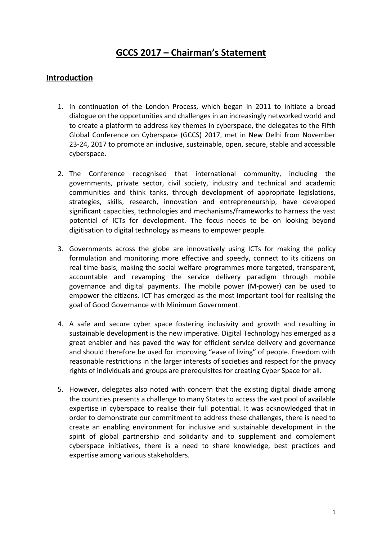# **GCCS 2017 – Chairman's Statement**

## **Introduction**

- 1. In continuation of the London Process, which began in 2011 to initiate a broad dialogue on the opportunities and challenges in an increasingly networked world and to create a platform to address key themes in cyberspace, the delegates to the Fifth Global Conference on Cyberspace (GCCS) 2017, met in New Delhi from November 23-24, 2017 to promote an inclusive, sustainable, open, secure, stable and accessible cyberspace.
- 2. The Conference recognised that international community, including the governments, private sector, civil society, industry and technical and academic communities and think tanks, through development of appropriate legislations, strategies, skills, research, innovation and entrepreneurship, have developed significant capacities, technologies and mechanisms/frameworks to harness the vast potential of ICTs for development. The focus needs to be on looking beyond digitisation to digital technology as means to empower people.
- 3. Governments across the globe are innovatively using ICTs for making the policy formulation and monitoring more effective and speedy, connect to its citizens on real time basis, making the social welfare programmes more targeted, transparent, accountable and revamping the service delivery paradigm through mobile governance and digital payments. The mobile power (M-power) can be used to empower the citizens. ICT has emerged as the most important tool for realising the goal of Good Governance with Minimum Government.
- 4. A safe and secure cyber space fostering inclusivity and growth and resulting in sustainable development is the new imperative. Digital Technology has emerged as a great enabler and has paved the way for efficient service delivery and governance and should therefore be used for improving "ease of living" of people. Freedom with reasonable restrictions in the larger interests of societies and respect for the privacy rights of individuals and groups are prerequisites for creating Cyber Space for all.
- 5. However, delegates also noted with concern that the existing digital divide among the countries presents a challenge to many States to access the vast pool of available expertise in cyberspace to realise their full potential. It was acknowledged that in order to demonstrate our commitment to address these challenges, there is need to create an enabling environment for inclusive and sustainable development in the spirit of global partnership and solidarity and to supplement and complement cyberspace initiatives, there is a need to share knowledge, best practices and expertise among various stakeholders.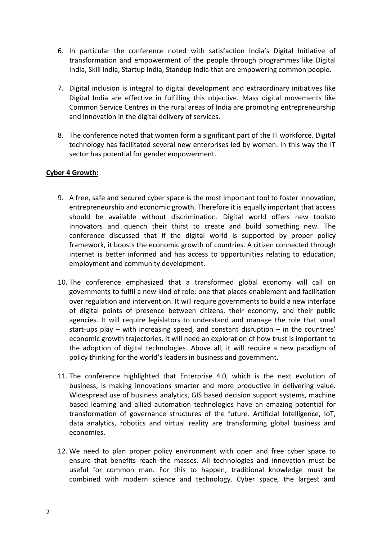- 6. In particular the conference noted with satisfaction India's Digital Initiative of transformation and empowerment of the people through programmes like Digital India, Skill India, Startup India, Standup India that are empowering common people.
- 7. Digital inclusion is integral to digital development and extraordinary initiatives like Digital India are effective in fulfilling this objective. Mass digital movements like Common Service Centres in the rural areas of India are promoting entrepreneurship and innovation in the digital delivery of services.
- 8. The conference noted that women form a significant part of the IT workforce. Digital technology has facilitated several new enterprises led by women. In this way the IT sector has potential for gender empowerment.

### **Cyber 4 Growth:**

- 9. A free, safe and secured cyber space is the most important tool to foster innovation, entrepreneurship and economic growth. Therefore it is equally important that access should be available without discrimination. Digital world offers new toolsto innovators and quench their thirst to create and build something new. The conference discussed that if the digital world is supported by proper policy framework, it boosts the economic growth of countries. A citizen connected through internet is better informed and has access to opportunities relating to education, employment and community development.
- 10. The conference emphasized that a transformed global economy will call on governments to fulfil a new kind of role: one that places enablement and facilitation over regulation and intervention. It will require governments to build a new interface of digital points of presence between citizens, their economy, and their public agencies. It will require legislators to understand and manage the role that small start-ups play – with increasing speed, and constant disruption – in the countries' economic growth trajectories. It will need an exploration of how trust is important to the adoption of digital technologies. Above all, it will require a new paradigm of policy thinking for the world's leaders in business and government.
- 11. The conference highlighted that Enterprise 4.0, which is the next evolution of business, is making innovations smarter and more productive in delivering value. Widespread use of business analytics, GIS based decision support systems, machine based learning and allied automation technologies have an amazing potential for transformation of governance structures of the future. Artificial Intelligence, IoT, data analytics, robotics and virtual reality are transforming global business and economies.
- 12. We need to plan proper policy environment with open and free cyber space to ensure that benefits reach the masses. All technologies and innovation must be useful for common man. For this to happen, traditional knowledge must be combined with modern science and technology. Cyber space, the largest and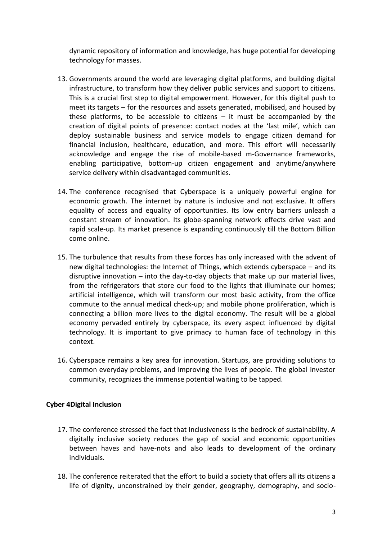dynamic repository of information and knowledge, has huge potential for developing technology for masses.

- 13. Governments around the world are leveraging digital platforms, and building digital infrastructure, to transform how they deliver public services and support to citizens. This is a crucial first step to digital empowerment. However, for this digital push to meet its targets – for the resources and assets generated, mobilised, and housed by these platforms, to be accessible to citizens  $-$  it must be accompanied by the creation of digital points of presence: contact nodes at the 'last mile', which can deploy sustainable business and service models to engage citizen demand for financial inclusion, healthcare, education, and more. This effort will necessarily acknowledge and engage the rise of mobile-based m-Governance frameworks, enabling participative, bottom-up citizen engagement and anytime/anywhere service delivery within disadvantaged communities.
- 14. The conference recognised that Cyberspace is a uniquely powerful engine for economic growth. The internet by nature is inclusive and not exclusive. It offers equality of access and equality of opportunities. Its low entry barriers unleash a constant stream of innovation. Its globe-spanning network effects drive vast and rapid scale-up. Its market presence is expanding continuously till the Bottom Billion come online.
- 15. The turbulence that results from these forces has only increased with the advent of new digital technologies: the Internet of Things, which extends cyberspace – and its disruptive innovation – into the day-to-day objects that make up our material lives, from the refrigerators that store our food to the lights that illuminate our homes; artificial intelligence, which will transform our most basic activity, from the office commute to the annual medical check-up; and mobile phone proliferation, which is connecting a billion more lives to the digital economy. The result will be a global economy pervaded entirely by cyberspace, its every aspect influenced by digital technology. It is important to give primacy to human face of technology in this context.
- 16. Cyberspace remains a key area for innovation. Startups, are providing solutions to common everyday problems, and improving the lives of people. The global investor community, recognizes the immense potential waiting to be tapped.

### **Cyber 4Digital Inclusion**

- 17. The conference stressed the fact that Inclusiveness is the bedrock of sustainability. A digitally inclusive society reduces the gap of social and economic opportunities between haves and have-nots and also leads to development of the ordinary individuals.
- 18. The conference reiterated that the effort to build a society that offers all its citizens a life of dignity, unconstrained by their gender, geography, demography, and socio-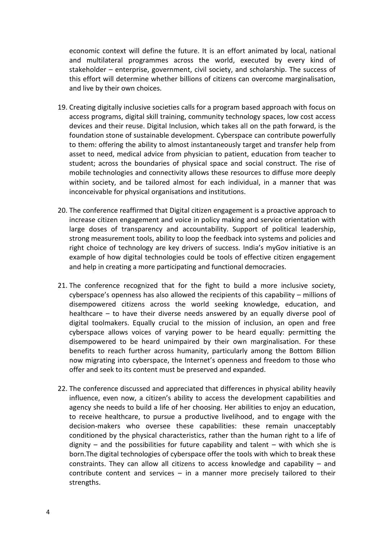economic context will define the future. It is an effort animated by local, national and multilateral programmes across the world, executed by every kind of stakeholder – enterprise, government, civil society, and scholarship. The success of this effort will determine whether billions of citizens can overcome marginalisation, and live by their own choices.

- 19. Creating digitally inclusive societies calls for a program based approach with focus on access programs, digital skill training, community technology spaces, low cost access devices and their reuse. Digital Inclusion, which takes all on the path forward, is the foundation stone of sustainable development. Cyberspace can contribute powerfully to them: offering the ability to almost instantaneously target and transfer help from asset to need, medical advice from physician to patient, education from teacher to student; across the boundaries of physical space and social construct. The rise of mobile technologies and connectivity allows these resources to diffuse more deeply within society, and be tailored almost for each individual, in a manner that was inconceivable for physical organisations and institutions.
- 20. The conference reaffirmed that Digital citizen engagement is a proactive approach to increase citizen engagement and voice in policy making and service orientation with large doses of transparency and accountability. Support of political leadership, strong measurement tools, ability to loop the feedback into systems and policies and right choice of technology are key drivers of success. India's myGov initiative is an example of how digital technologies could be tools of effective citizen engagement and help in creating a more participating and functional democracies.
- 21. The conference recognized that for the fight to build a more inclusive society, cyberspace's openness has also allowed the recipients of this capability – millions of disempowered citizens across the world seeking knowledge, education, and healthcare – to have their diverse needs answered by an equally diverse pool of digital toolmakers. Equally crucial to the mission of inclusion, an open and free cyberspace allows voices of varying power to be heard equally: permitting the disempowered to be heard unimpaired by their own marginalisation. For these benefits to reach further across humanity, particularly among the Bottom Billion now migrating into cyberspace, the Internet's openness and freedom to those who offer and seek to its content must be preserved and expanded.
- 22. The conference discussed and appreciated that differences in physical ability heavily influence, even now, a citizen's ability to access the development capabilities and agency she needs to build a life of her choosing. Her abilities to enjoy an education, to receive healthcare, to pursue a productive livelihood, and to engage with the decision-makers who oversee these capabilities: these remain unacceptably conditioned by the physical characteristics, rather than the human right to a life of dignity – and the possibilities for future capability and talent – with which she is born.The digital technologies of cyberspace offer the tools with which to break these constraints. They can allow all citizens to access knowledge and capability – and contribute content and services  $-$  in a manner more precisely tailored to their strengths.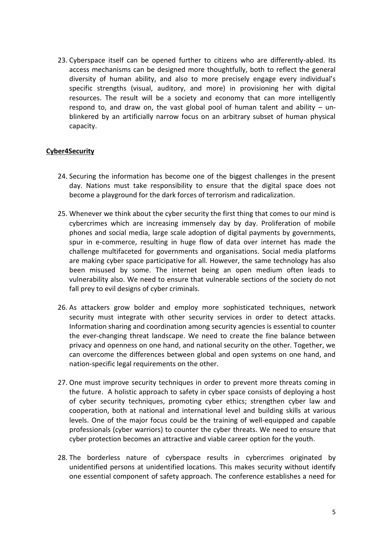23. Cyberspace itself can be opened further to citizens who are differently-abled. Its access mechanisms can be designed more thoughtfully, both to reflect the general diversity of human ability, and also to more precisely engage every individual's specific strengths (visual, auditory, and more) in provisioning her with digital resources. The result will be a society and economy that can more intelligently respond to, and draw on, the vast global pool of human talent and ability  $-$  unblinkered by an artificially narrow focus on an arbitrary subset of human physical capacity.

#### **Cyber4Security**

- 24. Securing the information has become one of the biggest challenges in the present day. Nations must take responsibility to ensure that the digital space does not become a playground for the dark forces of terrorism and radicalization.
- 25. Whenever we think about the cyber security the first thing that comes to our mind is cybercrimes which are increasing immensely day by day. Proliferation of mobile phones and social media, large scale adoption of digital payments by governments, spur in e-commerce, resulting in huge flow of data over internet has made the challenge multifaceted for governments and organisations. Social media platforms are making cyber space participative for all. However, the same technology has also been misused by some. The internet being an open medium often leads to vulnerability also. We need to ensure that vulnerable sections of the society do not fall prey to evil designs of cyber criminals.
- 26. As attackers grow bolder and employ more sophisticated techniques, network security must integrate with other security services in order to detect attacks. Information sharing and coordination among security agencies is essential to counter the ever-changing threat landscape. We need to create the fine balance between privacy and openness on one hand, and national security on the other. Together, we can overcome the differences between global and open systems on one hand, and nation-specific legal requirements on the other.
- 27. One must improve security techniques in order to prevent more threats coming in the future. A holistic approach to safety in cyber space consists of deploying a host of cyber security techniques, promoting cyber ethics; strengthen cyber law and cooperation, both at national and international level and building skills at various levels. One of the major focus could be the training of well-equipped and capable professionals (cyber warriors) to counter the cyber threats. We need to ensure that cyber protection becomes an attractive and viable career option for the youth.
- 28. The borderless nature of cyberspace results in cybercrimes originated by unidentified persons at unidentified locations. This makes security without identify one essential component of safety approach. The conference establishes a need for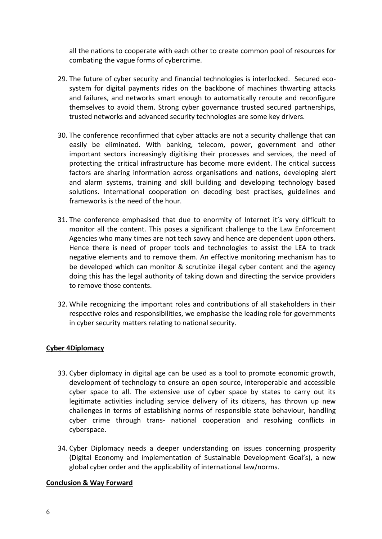all the nations to cooperate with each other to create common pool of resources for combating the vague forms of cybercrime.

- 29. The future of cyber security and financial technologies is interlocked. Secured ecosystem for digital payments rides on the backbone of machines thwarting attacks and failures, and networks smart enough to automatically reroute and reconfigure themselves to avoid them. Strong cyber governance trusted secured partnerships, trusted networks and advanced security technologies are some key drivers.
- 30. The conference reconfirmed that cyber attacks are not a security challenge that can easily be eliminated. With banking, telecom, power, government and other important sectors increasingly digitising their processes and services, the need of protecting the critical infrastructure has become more evident. The critical success factors are sharing information across organisations and nations, developing alert and alarm systems, training and skill building and developing technology based solutions. International cooperation on decoding best practises, guidelines and frameworks is the need of the hour.
- 31. The conference emphasised that due to enormity of Internet it's very difficult to monitor all the content. This poses a significant challenge to the Law Enforcement Agencies who many times are not tech savvy and hence are dependent upon others. Hence there is need of proper tools and technologies to assist the LEA to track negative elements and to remove them. An effective monitoring mechanism has to be developed which can monitor & scrutinize illegal cyber content and the agency doing this has the legal authority of taking down and directing the service providers to remove those contents.
- 32. While recognizing the important roles and contributions of all stakeholders in their respective roles and responsibilities, we emphasise the leading role for governments in cyber security matters relating to national security.

### **Cyber 4Diplomacy**

- 33. Cyber diplomacy in digital age can be used as a tool to promote economic growth, development of technology to ensure an open source, interoperable and accessible cyber space to all. The extensive use of cyber space by states to carry out its legitimate activities including service delivery of its citizens, has thrown up new challenges in terms of establishing norms of responsible state behaviour, handling cyber crime through trans- national cooperation and resolving conflicts in cyberspace.
- 34. Cyber Diplomacy needs a deeper understanding on issues concerning prosperity (Digital Economy and implementation of Sustainable Development Goal's), a new global cyber order and the applicability of international law/norms.

#### **Conclusion & Way Forward**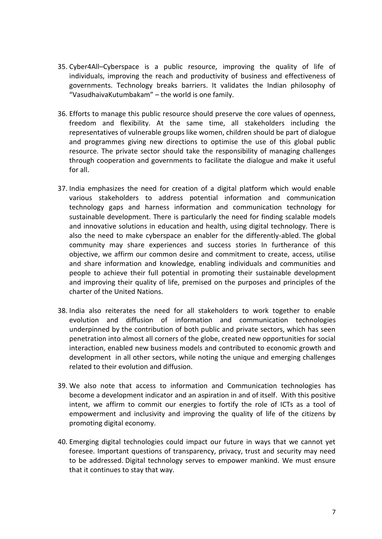- 35. Cyber4All–Cyberspace is a public resource, improving the quality of life of individuals, improving the reach and productivity of business and effectiveness of governments. Technology breaks barriers. It validates the Indian philosophy of "VasudhaivaKutumbakam" – the world is one family.
- 36. Efforts to manage this public resource should preserve the core values of openness, freedom and flexibility. At the same time, all stakeholders including the representatives of vulnerable groups like women, children should be part of dialogue and programmes giving new directions to optimise the use of this global public resource. The private sector should take the responsibility of managing challenges through cooperation and governments to facilitate the dialogue and make it useful for all.
- 37. India emphasizes the need for creation of a digital platform which would enable various stakeholders to address potential information and communication technology gaps and harness information and communication technology for sustainable development. There is particularly the need for finding scalable models and innovative solutions in education and health, using digital technology. There is also the need to make cyberspace an enabler for the differently-abled. The global community may share experiences and success stories In furtherance of this objective, we affirm our common desire and commitment to create, access, utilise and share information and knowledge, enabling individuals and communities and people to achieve their full potential in promoting their sustainable development and improving their quality of life, premised on the purposes and principles of the charter of the United Nations.
- 38. India also reiterates the need for all stakeholders to work together to enable evolution and diffusion of information and communication technologies underpinned by the contribution of both public and private sectors, which has seen penetration into almost all corners of the globe, created new opportunities for social interaction, enabled new business models and contributed to economic growth and development in all other sectors, while noting the unique and emerging challenges related to their evolution and diffusion.
- 39. We also note that access to information and Communication technologies has become a development indicator and an aspiration in and of itself. With this positive intent, we affirm to commit our energies to fortify the role of ICTs as a tool of empowerment and inclusivity and improving the quality of life of the citizens by promoting digital economy.
- 40. Emerging digital technologies could impact our future in ways that we cannot yet foresee. Important questions of transparency, privacy, trust and security may need to be addressed. Digital technology serves to empower mankind. We must ensure that it continues to stay that way.